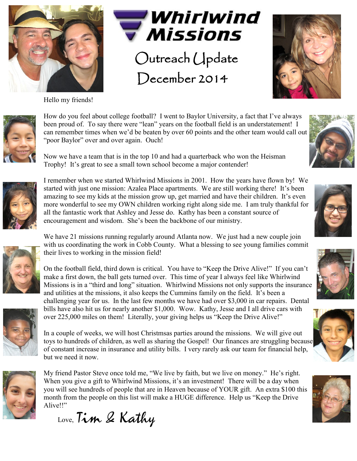

Hello my friends!



December 2014





How do you feel about college football? I went to Baylor University, a fact that I've always been proud of. To say there were "lean" years on the football field is an understatement! I can remember times when we'd be beaten by over 60 points and the other team would call out "poor Baylor" over and over again. Ouch!

Now we have a team that is in the top 10 and had a quarterback who won the Heisman Trophy! It's great to see a small town school become a major contender!



I remember when we started Whirlwind Missions in 2001. How the years have flown by! We started with just one mission: Azalea Place apartments. We are still working there! It's been amazing to see my kids at the mission grow up, get married and have their children. It's even more wonderful to see my OWN children working right along side me. I am truly thankful for all the fantastic work that Ashley and Jesse do. Kathy has been a constant source of encouragement and wisdom. She's been the backbone of our ministry.

We have 21 missions running regularly around Atlanta now. We just had a new couple join with us coordinating the work in Cobb County. What a blessing to see young families commit their lives to working in the mission field!



On the football field, third down is critical. You have to "Keep the Drive Alive!" If you can't make a first down, the ball gets turned over. This time of year I always feel like Whirlwind Missions is in a "third and long" situation. Whirlwind Missions not only supports the insurance and utilities at the missions, it also keeps the Cummins family on the field. It's been a challenging year for us. In the last few months we have had over \$3,000 in car repairs. Dental bills have also hit us for nearly another \$1,000. Wow. Kathy, Jesse and I all drive cars with over 225,000 miles on them! Literally, your giving helps us "Keep the Drive Alive!"



In a couple of weeks, we will host Christmsas parties around the missions. We will give out toys to hundreds of children, as well as sharing the Gospel! Our finances are struggling because of constant increase in insurance and utility bills. I very rarely ask our team for financial help, but we need it now.



My friend Pastor Steve once told me, "We live by faith, but we live on money." He's right. When you give a gift to Whirlwind Missions, it's an investment! There will be a day when you will see hundreds of people that are in Heaven because of YOUR gift. An extra \$100 this month from the people on this list will make a HUGE difference. Help us "Keep the Drive Alive!!"

Love, Tim & Kathy